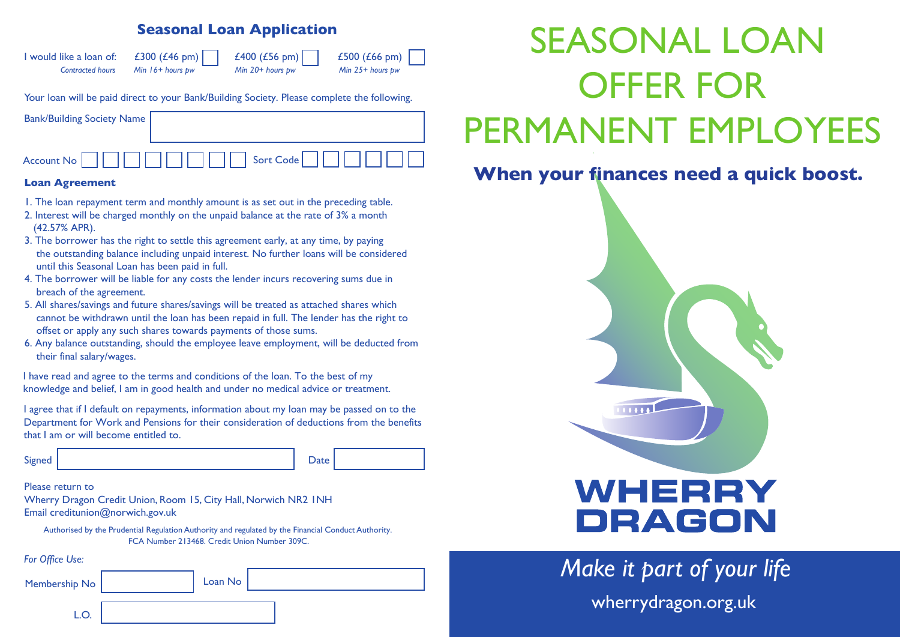## **Seasonal Loan Application**



Your loan will be paid direct to your Bank/Building Society. Please complete the following.

| <b>Bank/Building Society Name</b>          |                       |
|--------------------------------------------|-----------------------|
| Account No $\vert \vert$<br><b>TIME II</b> | $\Box$ Sort Code $  $ |

#### **Loan Agreement**

- 1. The loan repayment term and monthly amount is as set out in the preceding table.
- 2. Interest will be charged monthly on the unpaid balance at the rate of 3% a month (42.57% APR).
- 3. The borrower has the right to settle this agreement early, at any time, by paying the outstanding balance including unpaid interest. No further loans will be considered until this Seasonal Loan has been paid in full.
- 4. The borrower will be liable for any costs the lender incurs recovering sums due in breach of the agreement.
- 5. All shares/savings and future shares/savings will be treated as attached shares which cannot be withdrawn until the loan has been repaid in full. The lender has the right to offset or apply any such shares towards payments of those sums.
- 6. Any balance outstanding, should the employee leave employment, will be deducted from their final salary/wages.

I have read and agree to the terms and conditions of the loan. To the best of my knowledge and belief, I am in good health and under no medical advice or treatment.

I agree that if I default on repayments, information about my loan may be passed on to the Department for Work and Pensions for their consideration of deductions from the benefits that I am or will become entitled to.

| Signed | Date |
|--------|------|
|        |      |

Please return to

Wherry Dragon Credit Union, Room 15, City Hall, Norwich NR2 1NH Email creditunion@norwich.gov.uk

Authorised by the Prudential Regulation Authority and regulated by the Financial Conduct Authority. FCA Number 213468. Credit Union Number 309C.

*For Office Use:*

| Membership No | Loan No |  |  |
|---------------|---------|--|--|
|               |         |  |  |

# SEASONAL LOAN OFFER FOR PERMANENT EMPLOYEES

# **When your finances need a quick boost.**



*Make it part of your life* wherrydragon.org.uk